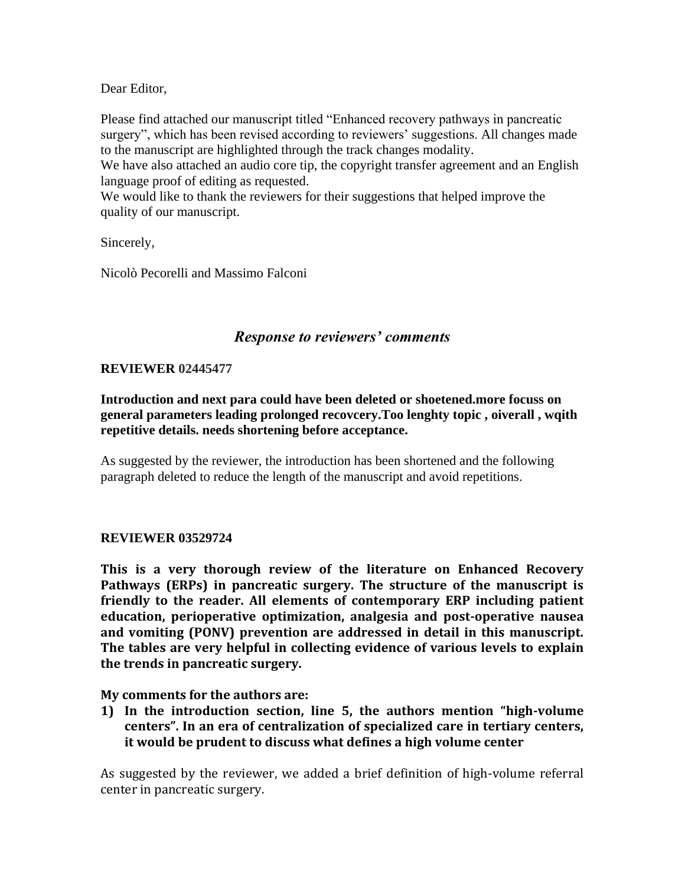Dear Editor,

Please find attached our manuscript titled "Enhanced recovery pathways in pancreatic surgery", which has been revised according to reviewers' suggestions. All changes made to the manuscript are highlighted through the track changes modality.

We have also attached an audio core tip, the copyright transfer agreement and an English language proof of editing as requested.

We would like to thank the reviewers for their suggestions that helped improve the quality of our manuscript.

Sincerely,

Nicolò Pecorelli and Massimo Falconi

## *Response to reviewers' comments*

## **REVIEWER 02445477**

**Introduction and next para could have been deleted or shoetened.more focuss on general parameters leading prolonged recovcery.Too lenghty topic , oiverall , wqith repetitive details. needs shortening before acceptance.**

As suggested by the reviewer, the introduction has been shortened and the following paragraph deleted to reduce the length of the manuscript and avoid repetitions.

## **REVIEWER 03529724**

**This is a very thorough review of the literature on Enhanced Recovery Pathways (ERPs) in pancreatic surgery. The structure of the manuscript is friendly to the reader. All elements of contemporary ERP including patient education, perioperative optimization, analgesia and post-operative nausea and vomiting (PONV) prevention are addressed in detail in this manuscript. The tables are very helpful in collecting evidence of various levels to explain the trends in pancreatic surgery.** 

**My comments for the authors are:**

**1) In the introduction section, line 5, the authors mention "high-volume centers". In an era of centralization of specialized care in tertiary centers, it would be prudent to discuss what defines a high volume center**

As suggested by the reviewer, we added a brief definition of high-volume referral center in pancreatic surgery.